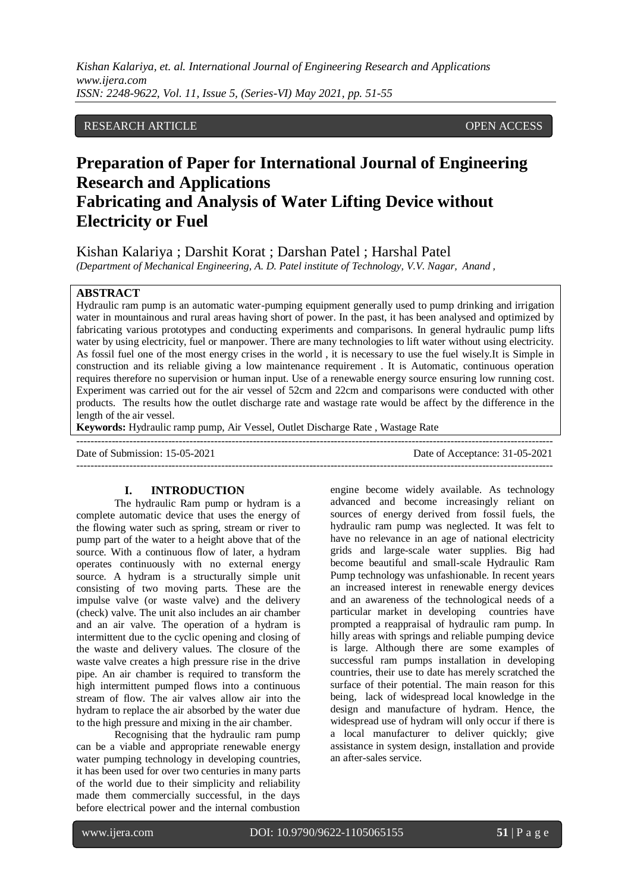#### RESEARCH ARTICLE **OPEN ACCESS**

# **Preparation of Paper for International Journal of Engineering Research and Applications Fabricating and Analysis of Water Lifting Device without Electricity or Fuel**

Kishan Kalariya ; Darshit Korat ; Darshan Patel ; Harshal Patel

*(Department of Mechanical Engineering, A. D. Patel institute of Technology, V.V. Nagar, Anand ,* 

## **ABSTRACT**

Hydraulic ram pump is an automatic water-pumping equipment generally used to pump drinking and irrigation water in mountainous and rural areas having short of power. In the past, it has been analysed and optimized by fabricating various prototypes and conducting experiments and comparisons. In general hydraulic pump lifts water by using electricity, fuel or manpower. There are many technologies to lift water without using electricity. As fossil fuel one of the most energy crises in the world , it is necessary to use the fuel wisely.It is Simple in construction and its reliable giving a low maintenance requirement . It is Automatic, continuous operation requires therefore no supervision or human input. Use of a renewable energy source ensuring low running cost. Experiment was carried out for the air vessel of 52cm and 22cm and comparisons were conducted with other products. The results how the outlet discharge rate and wastage rate would be affect by the difference in the length of the air vessel.

---------------------------------------------------------------------------------------------------------------------------------------

---------------------------------------------------------------------------------------------------------------------------------------

**Keywords:** Hydraulic ramp pump, Air Vessel, Outlet Discharge Rate , Wastage Rate

Date of Submission: 15-05-2021 Date of Acceptance: 31-05-2021

#### **I. INTRODUCTION**

The hydraulic Ram pump or hydram is a complete automatic device that uses the energy of the flowing water such as spring, stream or river to pump part of the water to a height above that of the source. With a continuous flow of later, a hydram operates continuously with no external energy source. A hydram is a structurally simple unit consisting of two moving parts. These are the impulse valve (or waste valve) and the delivery (check) valve. The unit also includes an air chamber and an air valve. The operation of a hydram is intermittent due to the cyclic opening and closing of the waste and delivery values. The closure of the waste valve creates a high pressure rise in the drive pipe. An air chamber is required to transform the high intermittent pumped flows into a continuous stream of flow. The air valves allow air into the hydram to replace the air absorbed by the water due to the high pressure and mixing in the air chamber.

Recognising that the hydraulic ram pump can be a viable and appropriate renewable energy water pumping technology in developing countries, it has been used for over two centuries in many parts of the world due to their simplicity and reliability made them commercially successful, in the days before electrical power and the internal combustion engine become widely available. As technology advanced and become increasingly reliant on sources of energy derived from fossil fuels, the hydraulic ram pump was neglected. It was felt to have no relevance in an age of national electricity grids and large-scale water supplies. Big had become beautiful and small-scale Hydraulic Ram Pump technology was unfashionable. In recent years an increased interest in renewable energy devices and an awareness of the technological needs of a particular market in developing countries have prompted a reappraisal of hydraulic ram pump. In hilly areas with springs and reliable pumping device is large. Although there are some examples of successful ram pumps installation in developing countries, their use to date has merely scratched the surface of their potential. The main reason for this being, lack of widespread local knowledge in the design and manufacture of hydram. Hence, the widespread use of hydram will only occur if there is a local manufacturer to deliver quickly; give assistance in system design, installation and provide an after-sales service.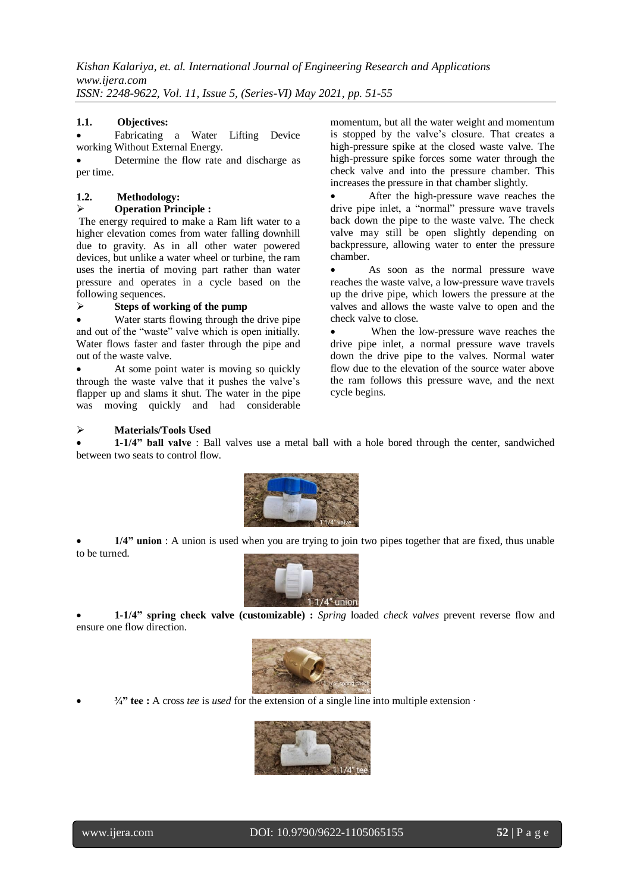### **1.1. Objectives:**

 Fabricating a Water Lifting Device working Without External Energy.

 Determine the flow rate and discharge as per time.

# **1.2. Methodology:**

**Operation Principle :**

The energy required to make a Ram lift water to a higher elevation comes from water falling downhill due to gravity. As in all other water powered devices, but unlike a water wheel or turbine, the ram uses the inertia of moving part rather than water pressure and operates in a cycle based on the following sequences.

### **Steps of working of the pump**

 Water starts flowing through the drive pipe and out of the "waste" valve which is open initially. Water flows faster and faster through the pipe and out of the waste valve.

 At some point water is moving so quickly through the waste valve that it pushes the valve's flapper up and slams it shut. The water in the pipe was moving quickly and had considerable momentum, but all the water weight and momentum is stopped by the valve's closure. That creates a high-pressure spike at the closed waste valve. The high-pressure spike forces some water through the check valve and into the pressure chamber. This increases the pressure in that chamber slightly.

 After the high-pressure wave reaches the drive pipe inlet, a "normal" pressure wave travels back down the pipe to the waste valve. The check valve may still be open slightly depending on backpressure, allowing water to enter the pressure chamber.

 As soon as the normal pressure wave reaches the waste valve, a low-pressure wave travels up the drive pipe, which lowers the pressure at the valves and allows the waste valve to open and the check valve to close.

 When the low-pressure wave reaches the drive pipe inlet, a normal pressure wave travels down the drive pipe to the valves. Normal water flow due to the elevation of the source water above the ram follows this pressure wave, and the next cycle begins.

### **Materials/Tools Used**

 **1-1/4" ball valve** : Ball valves use a metal ball with a hole bored through the center, sandwiched between two seats to control flow.



 **1/4" union** : A union is used when you are trying to join two pipes together that are fixed, thus unable to be turned.



 **1-1/4" spring check valve (customizable) :** *Spring* loaded *check valves* prevent reverse flow and ensure one flow direction.



**¾" tee :** A cross *tee* is *used* for the extension of a single line into multiple extension ·



www.ijera.com DOI: 10.9790/9622-1105065155 **52** | P a g e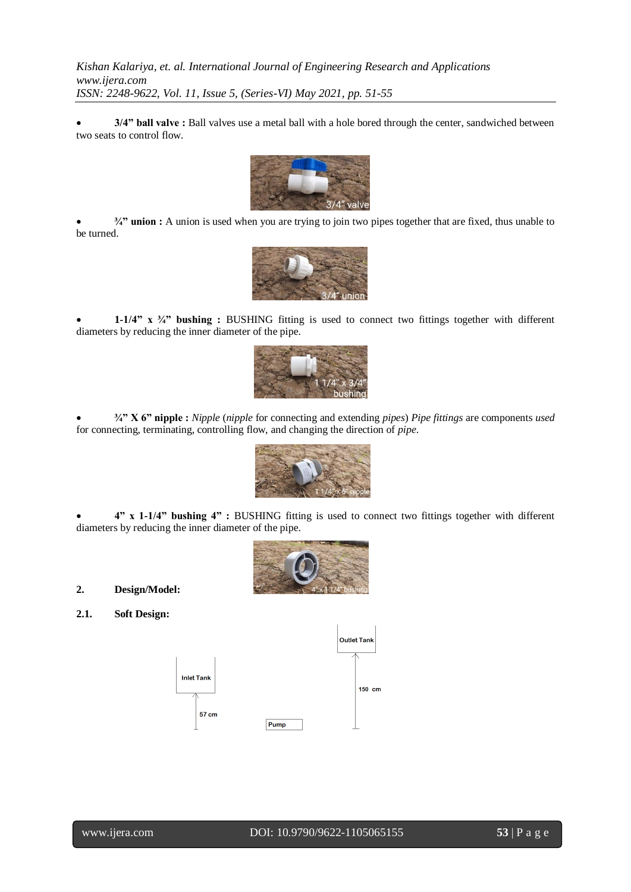**3/4" ball valve :** Ball valves use a metal ball with a hole bored through the center, sandwiched between two seats to control flow.



 **¾" union :** A union is used when you are trying to join two pipes together that are fixed, thus unable to be turned.



 **1-1/4" x ¾" bushing :** BUSHING fitting is used to connect two fittings together with different diameters by reducing the inner diameter of the pipe.



 **¾" X 6" nipple :** *Nipple* (*nipple* for connecting and extending *pipes*) *Pipe fittings* are components *used* for connecting, terminating, controlling flow, and changing the direction of *pipe*.



 **4" x 1-1/4" bushing 4" :** BUSHING fitting is used to connect two fittings together with different diameters by reducing the inner diameter of the pipe.



**2. Design/Model:**

**2.1. Soft Design:**

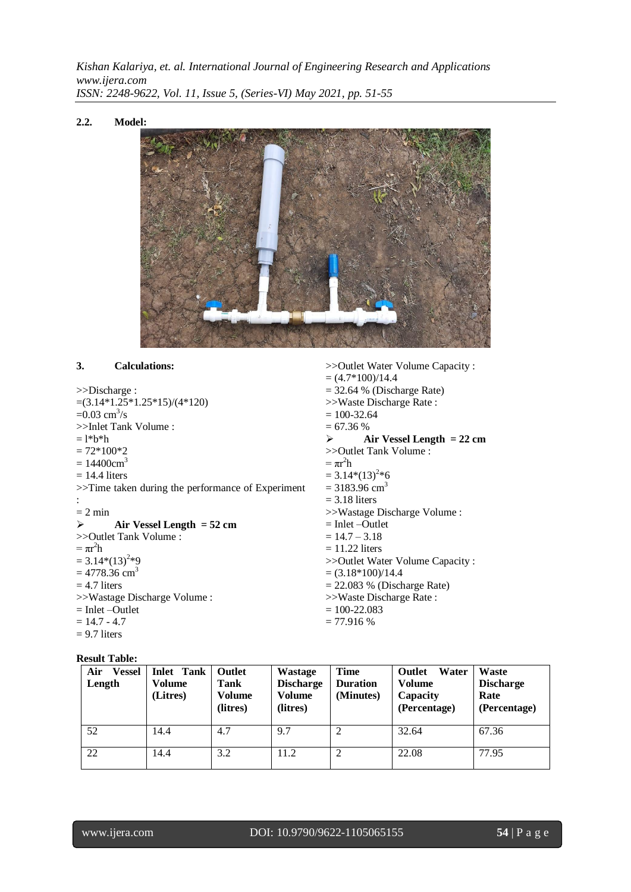#### **2.2. Model:**



>>Outlet Water Volume Capacity :

#### **3. Calculations:**

|                                                   | $=(4.7*100)/14.4$                 |  |  |  |
|---------------------------------------------------|-----------------------------------|--|--|--|
| $>>$ Discharge :                                  | $=$ 32.64 % (Discharge Rate)      |  |  |  |
| $=(3.14*1.25*1.25*15)/(4*120)$                    | >>Waste Discharge Rate:           |  |  |  |
| $=0.03$ cm <sup>3</sup> /s                        | $= 100 - 32.64$                   |  |  |  |
| >>Inlet Tank Volume:                              | $= 67.36 %$                       |  |  |  |
| $=$ 1*b*h                                         | Air Vessel Length $= 22$ cm<br>➤  |  |  |  |
| $= 72*100*2$                                      | >>Outlet Tank Volume :            |  |  |  |
| $= 14400 \text{cm}^3$                             | $= \pi r^2 h$                     |  |  |  |
| $= 14.4$ liters                                   | $= 3.14*(13)^{2}*6$               |  |  |  |
| >>Time taken during the performance of Experiment | $= 3183.96$ cm <sup>3</sup>       |  |  |  |
|                                                   | $=$ 3.18 liters                   |  |  |  |
| $= 2 \text{ min}$                                 | >>Wastage Discharge Volume :      |  |  |  |
| Air Vessel Length $= 52$ cm<br>➤                  | $=$ Inlet $-$ Outlet              |  |  |  |
| >>Outlet Tank Volume :                            | $= 14.7 - 3.18$                   |  |  |  |
| $= \pi r^2 h$                                     | $= 11.22$ liters                  |  |  |  |
| $= 3.14*(13)^{2}*9$                               | >> Outlet Water Volume Capacity : |  |  |  |
| $= 4778.36$ cm <sup>3</sup>                       | $= (3.18*100)/14.4$               |  |  |  |
| $= 4.7$ liters                                    | $= 22.083$ % (Discharge Rate)     |  |  |  |
| >>Wastage Discharge Volume :                      | >>Waste Discharge Rate:           |  |  |  |
| $=$ Inlet $-$ Outlet                              | $= 100 - 22.083$                  |  |  |  |
| $= 14.7 - 4.7$                                    | $= 77.916 %$                      |  |  |  |
| $= 9.7$ liters                                    |                                   |  |  |  |

### **Result Table:**

| Air<br><b>Vessel</b><br>Length | <b>Inlet Tank</b><br>Volume<br>(Litres) | Outlet<br>Tank<br>Volume<br>(litres) | Wastage<br><b>Discharge</b><br><b>Volume</b><br>(litres) | <b>Time</b><br><b>Duration</b><br>(Minutes) | Water<br><b>Outlet</b><br><b>Volume</b><br>Capacity<br>(Percentage) | Waste<br><b>Discharge</b><br>Rate<br>(Percentage) |
|--------------------------------|-----------------------------------------|--------------------------------------|----------------------------------------------------------|---------------------------------------------|---------------------------------------------------------------------|---------------------------------------------------|
| 52                             | 14.4                                    | 4.7                                  | 9.7                                                      |                                             | 32.64                                                               | 67.36                                             |
| 22                             | 14.4                                    | 3.2                                  | 11.2                                                     | ↑                                           | 22.08                                                               | 77.95                                             |